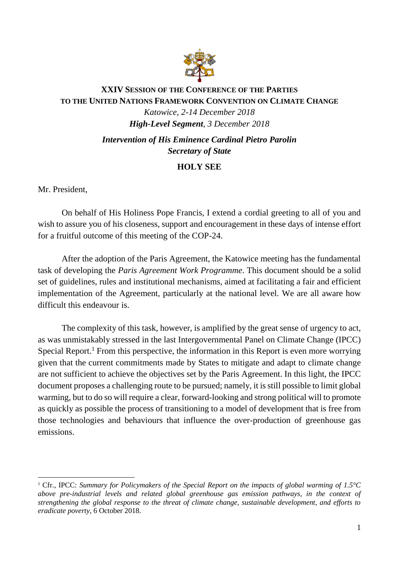

## **XXIV SESSION OF THE CONFERENCE OF THE PARTIES TO THE UNITED NATIONS FRAMEWORK CONVENTION ON CLIMATE CHANGE**

*Katowice, 2-14 December 2018 High-Level Segment*, *3 December 2018*

*Intervention of His Eminence Cardinal Pietro Parolin Secretary of State*

## **HOLY SEE**

Mr. President,

On behalf of His Holiness Pope Francis, I extend a cordial greeting to all of you and wish to assure you of his closeness, support and encouragement in these days of intense effort for a fruitful outcome of this meeting of the COP-24.

After the adoption of the Paris Agreement, the Katowice meeting has the fundamental task of developing the *Paris Agreement Work Programme*. This document should be a solid set of guidelines, rules and institutional mechanisms, aimed at facilitating a fair and efficient implementation of the Agreement, particularly at the national level. We are all aware how difficult this endeavour is.

The complexity of this task, however, is amplified by the great sense of urgency to act, as was unmistakably stressed in the last Intergovernmental Panel on Climate Change (IPCC) Special Report.<sup>1</sup> From this perspective, the information in this Report is even more worrying given that the current commitments made by States to mitigate and adapt to climate change are not sufficient to achieve the objectives set by the Paris Agreement. In this light, the IPCC document proposes a challenging route to be pursued; namely, it is still possible to limit global warming, but to do so will require a clear, forward-looking and strong political will to promote as quickly as possible the process of transitioning to a model of development that is free from those technologies and behaviours that influence the over-production of greenhouse gas emissions.

<sup>&</sup>lt;u>.</u> <sup>1</sup> Cfr., IPCC: *Summary for Policymakers of the Special Report on the impacts of global warming of 1.5°C above pre-industrial levels and related global greenhouse gas emission pathways, in the context of strengthening the global response to the threat of climate change, sustainable development, and efforts to eradicate poverty*, 6 October 2018.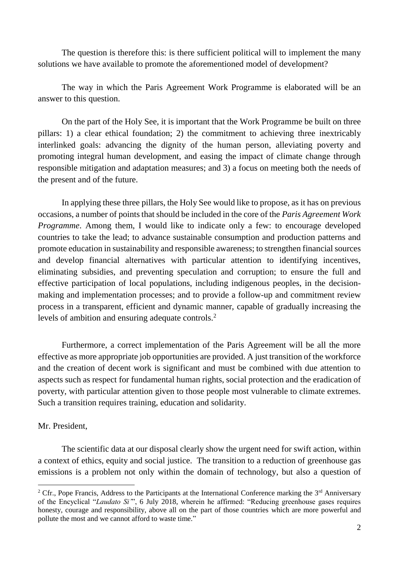The question is therefore this: is there sufficient political will to implement the many solutions we have available to promote the aforementioned model of development?

The way in which the Paris Agreement Work Programme is elaborated will be an answer to this question.

On the part of the Holy See, it is important that the Work Programme be built on three pillars: 1) a clear ethical foundation; 2) the commitment to achieving three inextricably interlinked goals: advancing the dignity of the human person, alleviating poverty and promoting integral human development, and easing the impact of climate change through responsible mitigation and adaptation measures; and 3) a focus on meeting both the needs of the present and of the future.

In applying these three pillars, the Holy See would like to propose, as it has on previous occasions, a number of points that should be included in the core of the *Paris Agreement Work Programme*. Among them, I would like to indicate only a few: to encourage developed countries to take the lead; to advance sustainable consumption and production patterns and promote education in sustainability and responsible awareness; to strengthen financial sources and develop financial alternatives with particular attention to identifying incentives, eliminating subsidies, and preventing speculation and corruption; to ensure the full and effective participation of local populations, including indigenous peoples, in the decisionmaking and implementation processes; and to provide a follow-up and commitment review process in a transparent, efficient and dynamic manner, capable of gradually increasing the levels of ambition and ensuring adequate controls.<sup>2</sup>

Furthermore, a correct implementation of the Paris Agreement will be all the more effective as more appropriate job opportunities are provided. A just transition of the workforce and the creation of decent work is significant and must be combined with due attention to aspects such as respect for fundamental human rights, social protection and the eradication of poverty, with particular attention given to those people most vulnerable to climate extremes. Such a transition requires training, education and solidarity.

## Mr. President,

1

The scientific data at our disposal clearly show the urgent need for swift action, within a context of ethics, equity and social justice. The transition to a reduction of greenhouse gas emissions is a problem not only within the domain of technology, but also a question of

<sup>&</sup>lt;sup>2</sup> Cfr., Pope Francis, Address to the Participants at the International Conference marking the  $3<sup>rd</sup>$  Anniversary of the Encyclical "*Laudato Si'*", 6 July 2018, wherein he affirmed: "Reducing greenhouse gases requires honesty, courage and responsibility, above all on the part of those countries which are more powerful and pollute the most and we cannot afford to waste time."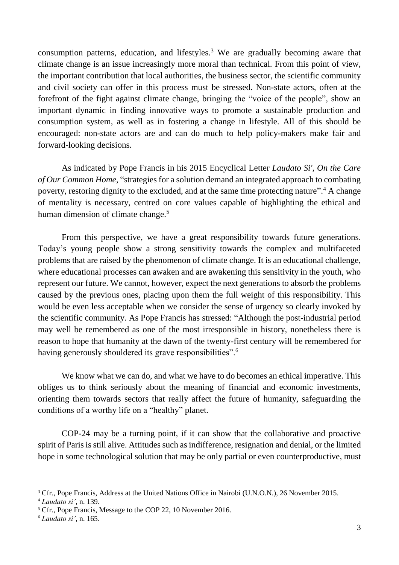consumption patterns, education, and lifestyles.<sup>3</sup> We are gradually becoming aware that climate change is an issue increasingly more moral than technical. From this point of view, the important contribution that local authorities, the business sector, the scientific community and civil society can offer in this process must be stressed. Non-state actors, often at the forefront of the fight against climate change, bringing the "voice of the people", show an important dynamic in finding innovative ways to promote a sustainable production and consumption system, as well as in fostering a change in lifestyle. All of this should be encouraged: non-state actors are and can do much to help policy-makers make fair and forward-looking decisions.

As indicated by Pope Francis in his 2015 Encyclical Letter *Laudato Si'*, *On the Care of Our Common Home*, "strategies for a solution demand an integrated approach to combating poverty, restoring dignity to the excluded, and at the same time protecting nature".<sup>4</sup> A change of mentality is necessary, centred on core values capable of highlighting the ethical and human dimension of climate change.<sup>5</sup>

From this perspective, we have a great responsibility towards future generations. Today's young people show a strong sensitivity towards the complex and multifaceted problems that are raised by the phenomenon of climate change. It is an educational challenge, where educational processes can awaken and are awakening this sensitivity in the youth, who represent our future. We cannot, however, expect the next generations to absorb the problems caused by the previous ones, placing upon them the full weight of this responsibility. This would be even less acceptable when we consider the sense of urgency so clearly invoked by the scientific community. As Pope Francis has stressed: "Although the post-industrial period may well be remembered as one of the most irresponsible in history, nonetheless there is reason to hope that humanity at the dawn of the twenty-first century will be remembered for having generously shouldered its grave responsibilities".<sup>6</sup>

We know what we can do, and what we have to do becomes an ethical imperative. This obliges us to think seriously about the meaning of financial and economic investments, orienting them towards sectors that really affect the future of humanity, safeguarding the conditions of a worthy life on a "healthy" planet.

COP-24 may be a turning point, if it can show that the collaborative and proactive spirit of Paris is still alive. Attitudes such as indifference, resignation and denial, or the limited hope in some technological solution that may be only partial or even counterproductive, must

1

<sup>&</sup>lt;sup>3</sup> Cfr., Pope Francis, Address at the United Nations Office in Nairobi (U.N.O.N.), 26 November 2015.

<sup>4</sup> *Laudato si'*, n. 139.

<sup>5</sup> Cfr., Pope Francis, Message to the COP 22, 10 November 2016.

<sup>6</sup> *Laudato si'*, n. 165.